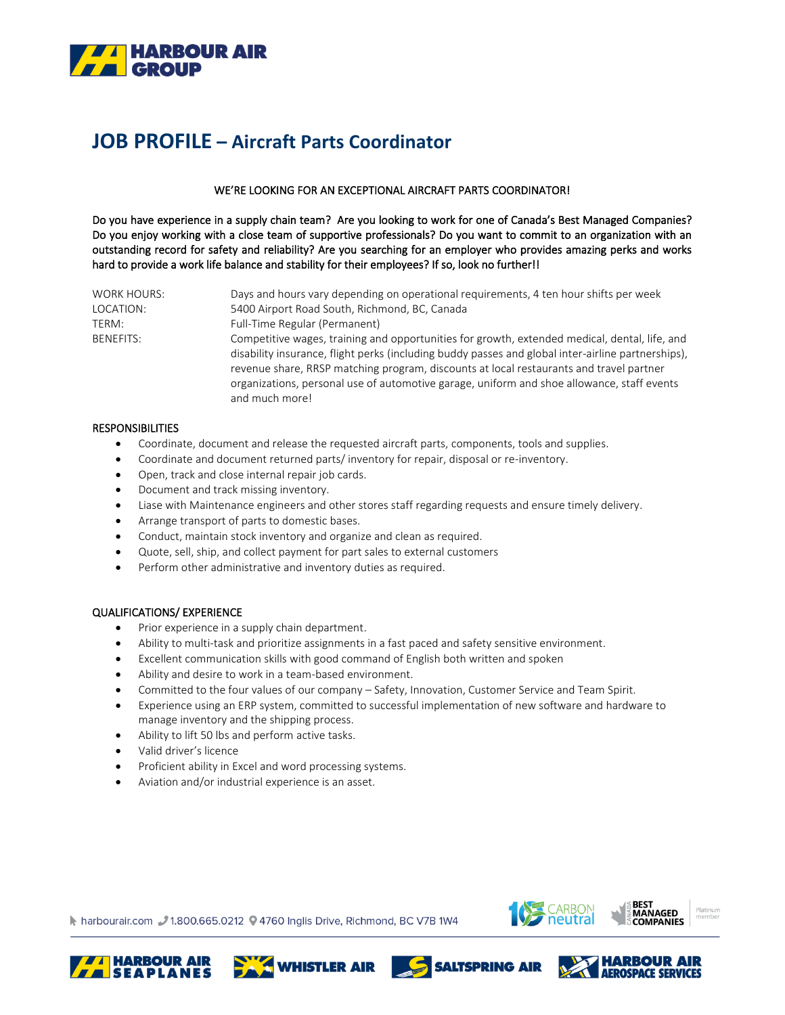

# **JOB PROFILE – Aircraft Parts Coordinator**

# WE'RE LOOKING FOR AN EXCEPTIONAL AIRCRAFT PARTS COORDINATOR!

Do you have experience in a supply chain team? Are you looking to work for one of Canada's Best Managed Companies? Do you enjoy working with a close team of supportive professionals? Do you want to commit to an organization with an outstanding record for safety and reliability? Are you searching for an employer who provides amazing perks and works hard to provide a work life balance and stability for their employees? If so, look no further!!

| <b>WORK HOURS:</b> | Days and hours vary depending on operational requirements, 4 ten hour shifts per week                                                                                                                                                                                                                                                                                                                          |
|--------------------|----------------------------------------------------------------------------------------------------------------------------------------------------------------------------------------------------------------------------------------------------------------------------------------------------------------------------------------------------------------------------------------------------------------|
| LOCATION:          | 5400 Airport Road South, Richmond, BC, Canada                                                                                                                                                                                                                                                                                                                                                                  |
| TERM:              | Full-Time Regular (Permanent)                                                                                                                                                                                                                                                                                                                                                                                  |
| <b>BENEFITS:</b>   | Competitive wages, training and opportunities for growth, extended medical, dental, life, and<br>disability insurance, flight perks (including buddy passes and global inter-airline partnerships),<br>revenue share, RRSP matching program, discounts at local restaurants and travel partner<br>organizations, personal use of automotive garage, uniform and shoe allowance, staff events<br>and much more! |

#### **RESPONSIBILITIES**

- Coordinate, document and release the requested aircraft parts, components, tools and supplies.
- Coordinate and document returned parts/ inventory for repair, disposal or re-inventory.
- Open, track and close internal repair job cards.
- Document and track missing inventory.
- Liase with Maintenance engineers and other stores staff regarding requests and ensure timely delivery.
- Arrange transport of parts to domestic bases.
- Conduct, maintain stock inventory and organize and clean as required.
- Quote, sell, ship, and collect payment for part sales to external customers
- Perform other administrative and inventory duties as required.

## QUALIFICATIONS/ EXPERIENCE

- Prior experience in a supply chain department.
- Ability to multi-task and prioritize assignments in a fast paced and safety sensitive environment.
- Excellent communication skills with good command of English both written and spoken
- Ability and desire to work in a team-based environment.
- Committed to the four values of our company Safety, Innovation, Customer Service and Team Spirit.
- Experience using an ERP system, committed to successful implementation of new software and hardware to manage inventory and the shipping process.
- Ability to lift 50 lbs and perform active tasks.
- Valid driver's licence
- Proficient ability in Excel and word processing systems.
- Aviation and/or industrial experience is an asset.